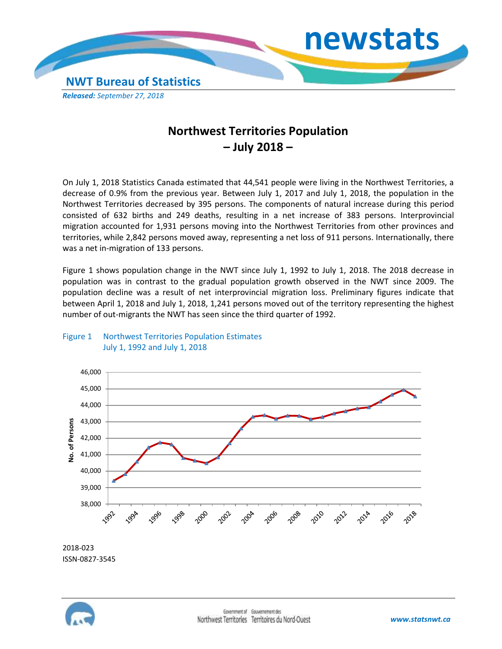

## **Northwest Territories Population – July 2018 –**

On July 1, 2018 Statistics Canada estimated that 44,541 people were living in the Northwest Territories, a decrease of 0.9% from the previous year. Between July 1, 2017 and July 1, 2018, the population in the Northwest Territories decreased by 395 persons. The components of natural increase during this period consisted of 632 births and 249 deaths, resulting in a net increase of 383 persons. Interprovincial migration accounted for 1,931 persons moving into the Northwest Territories from other provinces and territories, while 2,842 persons moved away, representing a net loss of 911 persons. Internationally, there was a net in-migration of 133 persons.

Figure 1 shows population change in the NWT since July 1, 1992 to July 1, 2018. The 2018 decrease in population was in contrast to the gradual population growth observed in the NWT since 2009. The population decline was a result of net interprovincial migration loss. Preliminary figures indicate that between April 1, 2018 and July 1, 2018, 1,241 persons moved out of the territory representing the highest number of out-migrants the NWT has seen since the third quarter of 1992.





2018-023 ISSN-0827-3545

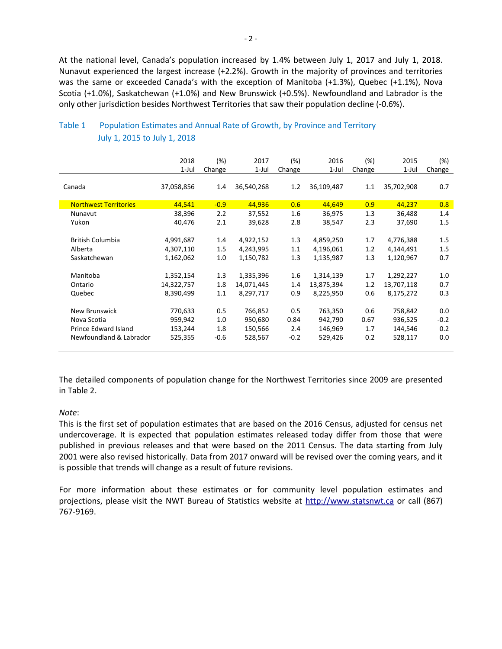At the national level, Canada's population increased by 1.4% between July 1, 2017 and July 1, 2018. Nunavut experienced the largest increase (+2.2%). Growth in the majority of provinces and territories was the same or exceeded Canada's with the exception of Manitoba (+1.3%), Quebec (+1.1%), Nova Scotia (+1.0%), Saskatchewan (+1.0%) and New Brunswick (+0.5%). Newfoundland and Labrador is the only other jurisdiction besides Northwest Territories that saw their population decline (-0.6%).

|                              | 2018       | $(\%)$ | 2017       | (%)    | 2016       | (%)    | 2015       | (%)    |
|------------------------------|------------|--------|------------|--------|------------|--------|------------|--------|
|                              | $1-Jul$    | Change | $1$ -Jul   | Change | 1-Jul      | Change | 1-Jul      | Change |
|                              |            |        |            |        |            |        |            |        |
| Canada                       | 37,058,856 | 1.4    | 36,540,268 | 1.2    | 36,109,487 | 1.1    | 35,702,908 | 0.7    |
| <b>Northwest Territories</b> | 44,541     | $-0.9$ | 44,936     | 0.6    | 44,649     | 0.9    | 44,237     | 0.8    |
| Nunavut                      | 38,396     | 2.2    | 37,552     | 1.6    | 36,975     | 1.3    | 36,488     | 1.4    |
| Yukon                        | 40,476     | 2.1    | 39,628     | 2.8    | 38,547     | 2.3    | 37,690     | 1.5    |
|                              |            |        |            |        |            |        |            |        |
| <b>British Columbia</b>      | 4,991,687  | 1.4    | 4,922,152  | 1.3    | 4,859,250  | 1.7    | 4,776,388  | 1.5    |
| Alberta                      | 4,307,110  | 1.5    | 4,243,995  | 1.1    | 4,196,061  | 1.2    | 4,144,491  | 1.5    |
| Saskatchewan                 | 1,162,062  | 1.0    | 1,150,782  | 1.3    | 1,135,987  | 1.3    | 1,120,967  | 0.7    |
|                              |            |        |            |        |            |        |            |        |
| Manitoba                     | 1,352,154  | 1.3    | 1,335,396  | 1.6    | 1,314,139  | 1.7    | 1,292,227  | 1.0    |
| Ontario                      | 14,322,757 | 1.8    | 14,071,445 | 1.4    | 13,875,394 | 1.2    | 13,707,118 | 0.7    |
| Quebec                       | 8,390,499  | 1.1    | 8,297,717  | 0.9    | 8,225,950  | 0.6    | 8,175,272  | 0.3    |
|                              |            |        |            |        |            |        |            |        |
| New Brunswick                | 770,633    | 0.5    | 766,852    | 0.5    | 763,350    | 0.6    | 758,842    | 0.0    |
| Nova Scotia                  | 959,942    | 1.0    | 950,680    | 0.84   | 942,790    | 0.67   | 936,525    | $-0.2$ |
| Prince Edward Island         | 153,244    | 1.8    | 150,566    | 2.4    | 146,969    | 1.7    | 144,546    | 0.2    |
| Newfoundland & Labrador      | 525,355    | $-0.6$ | 528,567    | $-0.2$ | 529,426    | 0.2    | 528,117    | 0.0    |
|                              |            |        |            |        |            |        |            |        |

## Table 1 Population Estimates and Annual Rate of Growth, by Province and Territory July 1, 2015 to July 1, 2018

The detailed components of population change for the Northwest Territories since 2009 are presented in Table 2.

## *Note*:

This is the first set of population estimates that are based on the 2016 Census, adjusted for census net undercoverage. It is expected that population estimates released today differ from those that were published in previous releases and that were based on the 2011 Census. The data starting from July 2001 were also revised historically. Data from 2017 onward will be revised over the coming years, and it is possible that trends will change as a result of future revisions.

For more information about these estimates or for community level population estimates and projections, please visit the NWT Bureau of Statistics website at http://www.statsnwt.ca or call (867) 767-9169.